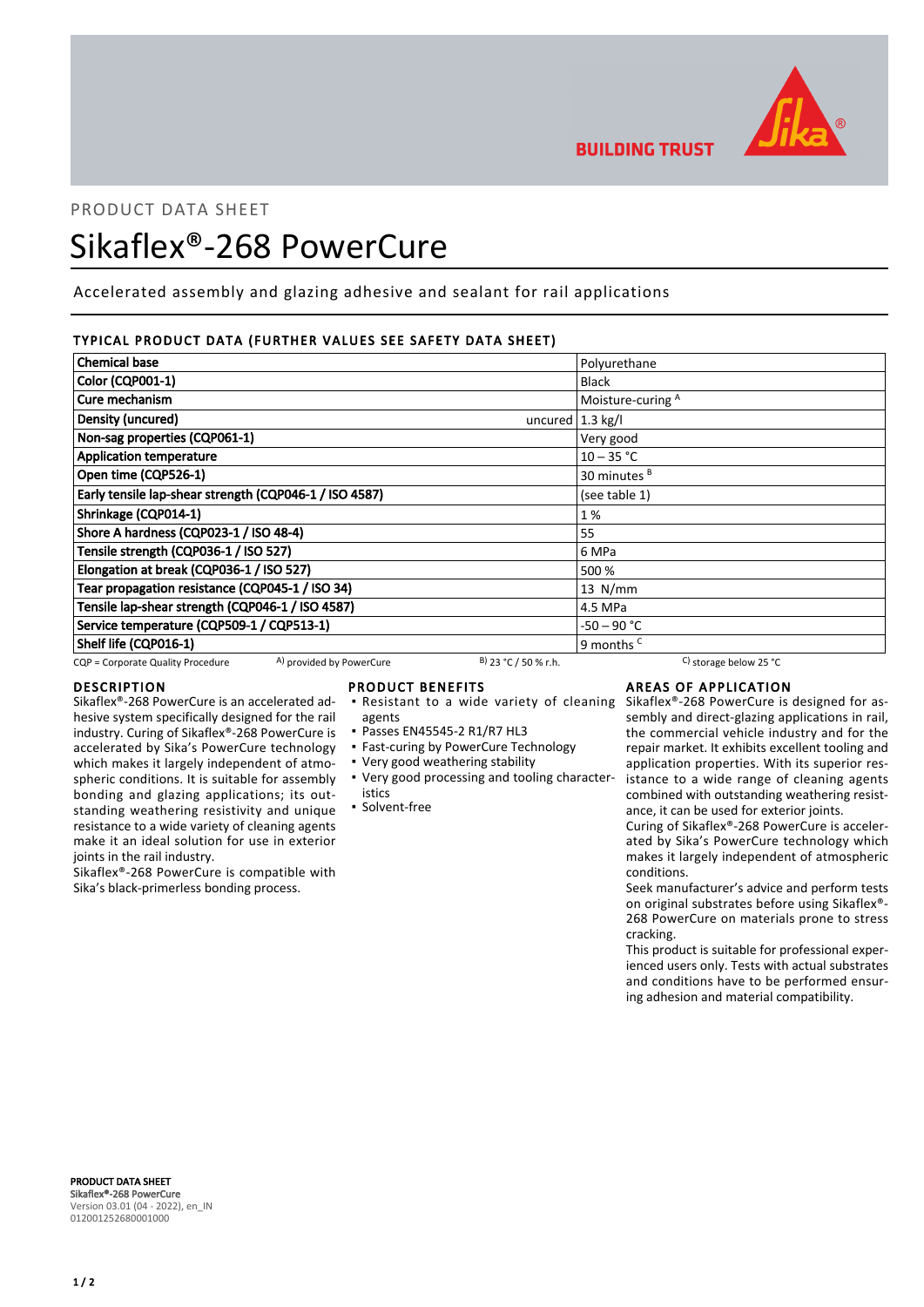

**BUILDING TRUST** 

# PRODUCT DATA SHEET

# Sikaflex®-268 PowerCure

Accelerated assembly and glazing adhesive and sealant for rail applications

# TYPICAL PRODUCT DATA (FURTHER VALUES SEE SAFETY DATA SHEET)

| <b>Chemical base</b>                                          | Polyurethane                                                           |
|---------------------------------------------------------------|------------------------------------------------------------------------|
| Color (CQP001-1)                                              | <b>Black</b>                                                           |
| Cure mechanism                                                | Moisture-curing A                                                      |
| Density (uncured)                                             | uncured $1.3$ kg/l                                                     |
| Non-sag properties (CQP061-1)                                 | Very good                                                              |
| <b>Application temperature</b>                                | $10 - 35 °C$                                                           |
| Open time (CQP526-1)                                          | 30 minutes <sup>B</sup>                                                |
| Early tensile lap-shear strength (CQP046-1 / ISO 4587)        | (see table 1)                                                          |
| Shrinkage (CQP014-1)                                          | 1%                                                                     |
| Shore A hardness (CQP023-1 / ISO 48-4)                        | 55                                                                     |
| Tensile strength (CQP036-1 / ISO 527)                         | 6 MPa                                                                  |
| Elongation at break (CQP036-1 / ISO 527)                      | 500 %                                                                  |
| Tear propagation resistance (CQP045-1 / ISO 34)               | $13$ N/mm                                                              |
| Tensile lap-shear strength (CQP046-1 / ISO 4587)              | 4.5 MPa                                                                |
| Service temperature (CQP509-1 / CQP513-1)                     | -50 – 90 °C                                                            |
| Shelf life (CQP016-1)                                         | 9 months <sup>c</sup>                                                  |
| A) provided by PowerCure<br>CQP = Corporate Quality Procedure | $B)$ 23 °C / 50 % r.h.<br><sup>C</sup> ) storage below 25 $^{\circ}$ C |

### DESCRIPTION

Sikaflex®-268 PowerCure is an accelerated adhesive system specifically designed for the rail industry. Curing of Sikaflex®-268 PowerCure is accelerated by Sika's PowerCure technology which makes it largely independent of atmospheric conditions. It is suitable for assembly bonding and glazing applications; its outstanding weathering resistivity and unique resistance to a wide variety of cleaning agents make it an ideal solution for use in exterior joints in the rail industry.

Sikaflex®-268 PowerCure is compatible with Sika's black-primerless bonding process.

### PRODUCT BENEFITS

- **Resistant to a wide variety of cleaning**
- agents
- Passes EN45545-2 R1/R7 HL3
- **East-curing by PowerCure Technology**
- Very good weathering stability
- Very good processing and tooling character-▪ istics
- Solvent-free

# AREAS OF APPLICATION

Sikaflex®-268 PowerCure is designed for assembly and direct-glazing applications in rail, the commercial vehicle industry and for the repair market. It exhibits excellent tooling and application properties. With its superior resistance to a wide range of cleaning agents combined with outstanding weathering resistance, it can be used for exterior joints.

Curing of Sikaflex®-268 PowerCure is accelerated by Sika's PowerCure technology which makes it largely independent of atmospheric conditions.

Seek manufacturer's advice and perform tests on original substrates before using Sikaflex®- 268 PowerCure on materials prone to stress cracking.

This product is suitable for professional experienced users only. Tests with actual substrates and conditions have to be performed ensuring adhesion and material compatibility.

PRODUCT DATA SHEET Sikaflex®-268 PowerCure Version 03.01 (04 - 2022), en\_IN 012001252680001000